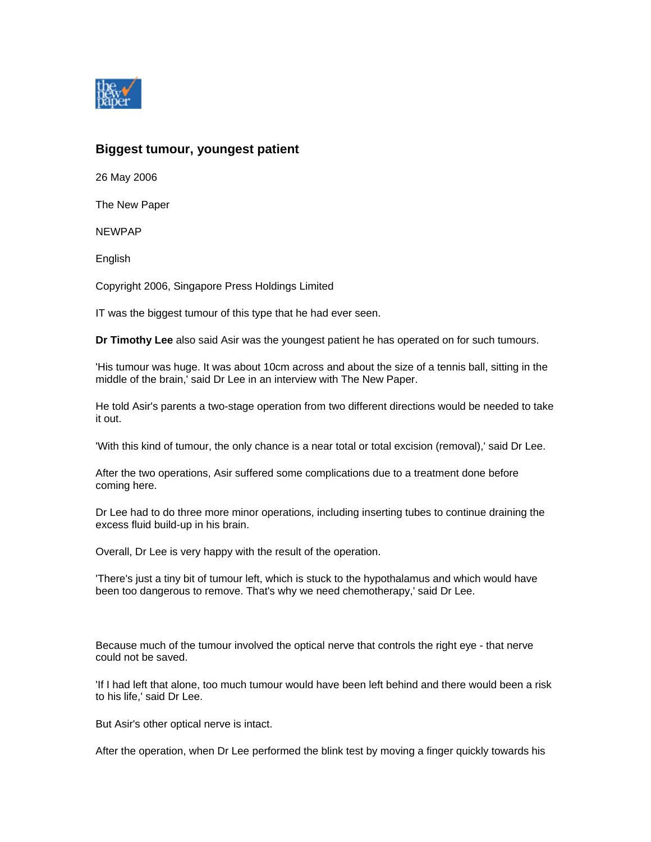

## **Biggest tumour, youngest patient**

26 May 2006

The New Paper

NEWPAP

English

Copyright 2006, Singapore Press Holdings Limited

IT was the biggest tumour of this type that he had ever seen.

**Dr Timothy Lee** also said Asir was the youngest patient he has operated on for such tumours.

'His tumour was huge. It was about 10cm across and about the size of a tennis ball, sitting in the middle of the brain,' said Dr Lee in an interview with The New Paper.

He told Asir's parents a two-stage operation from two different directions would be needed to take it out.

'With this kind of tumour, the only chance is a near total or total excision (removal),' said Dr Lee.

After the two operations, Asir suffered some complications due to a treatment done before coming here.

Dr Lee had to do three more minor operations, including inserting tubes to continue draining the excess fluid build-up in his brain.

Overall, Dr Lee is very happy with the result of the operation.

'There's just a tiny bit of tumour left, which is stuck to the hypothalamus and which would have been too dangerous to remove. That's why we need chemotherapy,' said Dr Lee.

Because much of the tumour involved the optical nerve that controls the right eye - that nerve could not be saved.

'If I had left that alone, too much tumour would have been left behind and there would been a risk to his life,' said Dr Lee.

But Asir's other optical nerve is intact.

After the operation, when Dr Lee performed the blink test by moving a finger quickly towards his